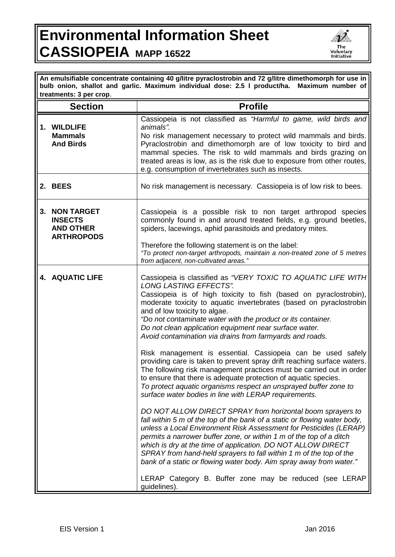## **Environmental Information Sheet CASSIOPEIA MAPP 16522**



**An emulsifiable concentrate containing 40 g/litre pyraclostrobin and 72 g/litre dimethomorph for use in bulb onion, shallot and garlic. Maximum individual dose: 2.5 l product/ha. Maximum number of treatments: 3 per crop**.

|         | <b>Section</b>                                                               | <b>Profile</b>                                                                                                                                                                                                                                                                                                                                                                                                                                                                                                                                                                                                                                                                                                                                                                                                                                                                                                                                                                                                                                                                                                                                                                                                                                                                                                                                                                                                                                                    |
|---------|------------------------------------------------------------------------------|-------------------------------------------------------------------------------------------------------------------------------------------------------------------------------------------------------------------------------------------------------------------------------------------------------------------------------------------------------------------------------------------------------------------------------------------------------------------------------------------------------------------------------------------------------------------------------------------------------------------------------------------------------------------------------------------------------------------------------------------------------------------------------------------------------------------------------------------------------------------------------------------------------------------------------------------------------------------------------------------------------------------------------------------------------------------------------------------------------------------------------------------------------------------------------------------------------------------------------------------------------------------------------------------------------------------------------------------------------------------------------------------------------------------------------------------------------------------|
|         | 1. WILDLIFE<br><b>Mammals</b><br><b>And Birds</b>                            | Cassiopeia is not classified as "Harmful to game, wild birds and<br>animals".<br>No risk management necessary to protect wild mammals and birds.<br>Pyraclostrobin and dimethomorph are of low toxicity to bird and<br>mammal species. The risk to wild mammals and birds grazing on<br>treated areas is low, as is the risk due to exposure from other routes,<br>e.g. consumption of invertebrates such as insects.                                                                                                                                                                                                                                                                                                                                                                                                                                                                                                                                                                                                                                                                                                                                                                                                                                                                                                                                                                                                                                             |
| 2. BEES |                                                                              | No risk management is necessary. Cassiopeia is of low risk to bees.                                                                                                                                                                                                                                                                                                                                                                                                                                                                                                                                                                                                                                                                                                                                                                                                                                                                                                                                                                                                                                                                                                                                                                                                                                                                                                                                                                                               |
| 3.      | <b>NON TARGET</b><br><b>INSECTS</b><br><b>AND OTHER</b><br><b>ARTHROPODS</b> | Cassiopeia is a possible risk to non target arthropod species<br>commonly found in and around treated fields, e.g. ground beetles,<br>spiders, lacewings, aphid parasitoids and predatory mites.<br>Therefore the following statement is on the label:<br>"To protect non-target arthropods, maintain a non-treated zone of 5 metres<br>from adjacent, non-cultivated areas."                                                                                                                                                                                                                                                                                                                                                                                                                                                                                                                                                                                                                                                                                                                                                                                                                                                                                                                                                                                                                                                                                     |
|         | 4. AQUATIC LIFE                                                              | Cassiopeia is classified as "VERY TOXIC TO AQUATIC LIFE WITH<br><b>LONG LASTING EFFECTS".</b><br>Cassiopeia is of high toxicity to fish (based on pyraclostrobin),<br>moderate toxicity to aquatic invertebrates (based on pyraclostrobin<br>and of low toxicity to algae.<br>"Do not contaminate water with the product or its container.<br>Do not clean application equipment near surface water.<br>Avoid contamination via drains from farmyards and roads.<br>Risk management is essential. Cassiopeia can be used safely<br>providing care is taken to prevent spray drift reaching surface waters.<br>The following risk management practices must be carried out in order<br>to ensure that there is adequate protection of aquatic species.<br>To protect aquatic organisms respect an unsprayed buffer zone to<br>surface water bodies in line with LERAP requirements.<br>DO NOT ALLOW DIRECT SPRAY from horizontal boom sprayers to<br>fall within 5 m of the top of the bank of a static or flowing water body,<br>unless a Local Environment Risk Assessment for Pesticides (LERAP)<br>permits a narrower buffer zone, or within 1 m of the top of a ditch<br>which is dry at the time of application. DO NOT ALLOW DIRECT<br>SPRAY from hand-held sprayers to fall within 1 m of the top of the<br>bank of a static or flowing water body. Aim spray away from water."<br>LERAP Category B. Buffer zone may be reduced (see LERAP<br>guidelines). |